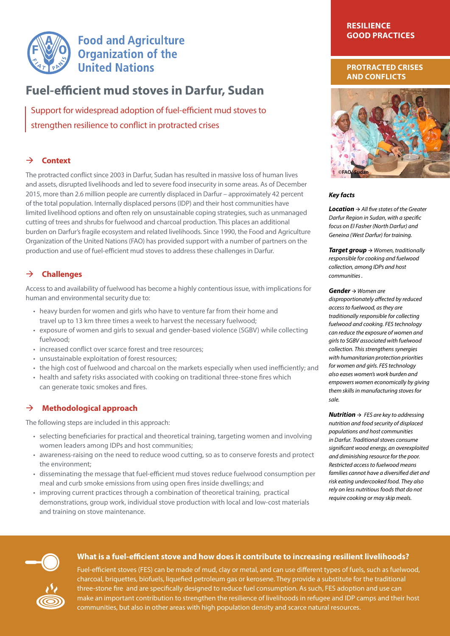

# **Food and Agriculture Organization of the United Nations**

# **Fuel-efficient mud stoves in Darfur, Sudan**

Support for widespread adoption of fuel-efficient mud stoves to strengthen resilience to conflict in protracted crises

# **Context**

The protracted conflict since 2003 in Darfur, Sudan has resulted in massive loss of human lives and assets, disrupted livelihoods and led to severe food insecurity in some areas. As of December 2015, more than 2.6 million people are currently displaced in Darfur – approximately 42 percent of the total population. Internally displaced persons (IDP) and their host communities have limited livelihood options and often rely on unsustainable coping strategies, such as unmanaged cutting of trees and shrubs for fuelwood and charcoal production. This places an additional burden on Darfur's fragile ecosystem and related livelihoods. Since 1990, the Food and Agriculture Organization of the United Nations (FAO) has provided support with a number of partners on the production and use of fuel-efficient mud stoves to address these challenges in Darfur.

# **Challenges**

Access to and availability of fuelwood has become a highly contentious issue, with implications for human and environmental security due to:

- • heavy burden for women and girls who have to venture far from their home and travel up to 13 km three times a week to harvest the necessary fuelwood;
- • exposure of women and girls to sexual and gender-based violence (SGBV) while collecting fuelwood;
- increased conflict over scarce forest and tree resources;
- unsustainable exploitation of forest resources:
- • the high cost of fuelwood and charcoal on the markets especially when used inefficiently; and
- health and safety risks associated with cooking on traditional three-stone fires which can generate toxic smokes and fires.

# **Methodological approach**

The following steps are included in this approach:

- • selecting beneficiaries for practical and theoretical training, targeting women and involving women leaders among IDPs and host communities;
- • awareness-raising on the need to reduce wood cutting, so as to conserve forests and protect the environment;
- • disseminating the message that fuel-efficient mud stoves reduce fuelwood consumption per meal and curb smoke emissions from using open fires inside dwellings; and
- improving current practices through a combination of theoretical training, practical demonstrations, group work, individual stove production with local and low-cost materials and training on stove maintenance.

## **Resilience GOOD practices**

## **PROTRACTED CRISES AND CONFLICTS**



#### *Key facts*

*Location → All five states of the Greater Darfur Region in Sudan, with a specific focus on El Fasher (North Darfur) and Geneina (West Darfur) for training.*

*Target group*  $\rightarrow$  *Women, traditionally responsible for cooking and fuelwood collection, among IDPs and host communities .*

*Gender Women are disproportionately affected by reduced access to fuelwood, as they are traditionally responsible for collecting fuelwood and cooking. FES technology can reduce the exposure of women and girls to SGBV associated with fuelwood collection. This strengthens synergies* 

*with humanitarian protection priorities for women and girls. FES technology also eases women's work burden and empowers women economically by giving them skills in manufacturing stoves for sale.*

*Nutrition → FES are key to addressing nutrition and food security of displaced populations and host communities in Darfur. Traditional stoves consume significant wood energy, an overexploited and diminishing resource for the poor. Restricted access to fuelwood means families cannot have a diversified diet and risk eating undercooked food. They also rely on less nutritious foods that do not require cooking or may skip meals.*

#### **What is a fuel-efficient stove and how does it contribute to increasing resilient livelihoods?**

Fuel-efficient stoves (FES) can be made of mud, clay or metal, and can use different types of fuels, such as fuelwood, charcoal, briquettes, biofuels, liquefied petroleum gas or kerosene. They provide a substitute for the traditional three-stone fire and are specifically designed to reduce fuel consumption. As such, FES adoption and use can make an important contribution to strengthen the resilience of livelihoods in refugee and IDP camps and their host communities, but also in other areas with high population density and scarce natural resources.